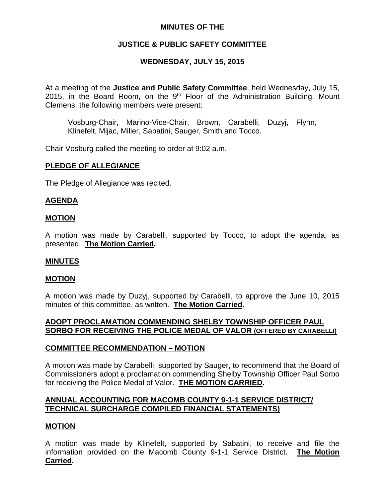# **MINUTES OF THE**

# **JUSTICE & PUBLIC SAFETY COMMITTEE**

# **WEDNESDAY, JULY 15, 2015**

At a meeting of the **Justice and Public Safety Committee**, held Wednesday, July 15, 2015, in the Board Room, on the  $9<sup>th</sup>$  Floor of the Administration Building, Mount Clemens, the following members were present:

Vosburg-Chair, Marino-Vice-Chair, Brown, Carabelli, Duzyj, Flynn, Klinefelt, Mijac, Miller, Sabatini, Sauger, Smith and Tocco.

Chair Vosburg called the meeting to order at 9:02 a.m.

### **PLEDGE OF ALLEGIANCE**

The Pledge of Allegiance was recited.

### **AGENDA**

#### **MOTION**

A motion was made by Carabelli, supported by Tocco, to adopt the agenda, as presented. **The Motion Carried.**

### **MINUTES**

#### **MOTION**

A motion was made by Duzyj, supported by Carabelli, to approve the June 10, 2015 minutes of this committee, as written. **The Motion Carried.**

# **ADOPT PROCLAMATION COMMENDING SHELBY TOWNSHIP OFFICER PAUL SORBO FOR RECEIVING THE POLICE MEDAL OF VALOR (OFFERED BY CARABELLI)**

### **COMMITTEE RECOMMENDATION – MOTION**

A motion was made by Carabelli, supported by Sauger, to recommend that the Board of Commissioners adopt a proclamation commending Shelby Township Officer Paul Sorbo for receiving the Police Medal of Valor. **THE MOTION CARRIED.**

# **ANNUAL ACCOUNTING FOR MACOMB COUNTY 9-1-1 SERVICE DISTRICT/ TECHNICAL SURCHARGE COMPILED FINANCIAL STATEMENTS)**

### **MOTION**

A motion was made by Klinefelt, supported by Sabatini, to receive and file the information provided on the Macomb County 9-1-1 Service District. **The Motion Carried.**